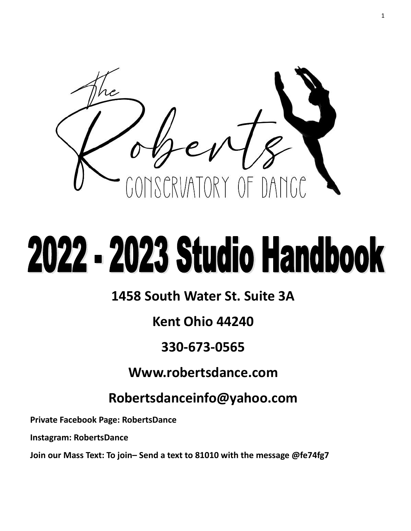

# 2022 - 2023 Studio Handbook

### **1458 South Water St. Suite 3A**

### **Kent Ohio 44240**

### **330-673-0565**

### **Www.robertsdance.com**

### **Robertsdanceinfo@yahoo.com**

**Private Facebook Page: RobertsDance**

**Instagram: RobertsDance**

**Join our Mass Text: To join– Send a text to 81010 with the message @fe74fg7**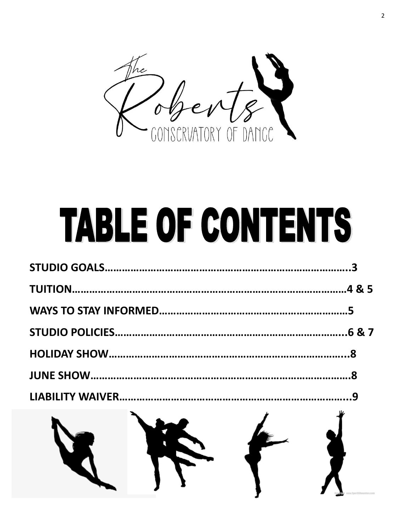

## **TABLE OF CONTENTS**

| $\lambda$ $\lambda$ $\lambda$ |  |
|-------------------------------|--|
|                               |  |
|                               |  |
|                               |  |
|                               |  |
|                               |  |
|                               |  |
|                               |  |

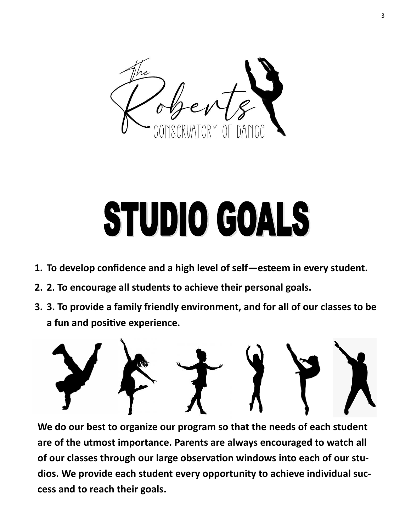

## STUDIO GOALS

- **1. To develop confidence and a high level of self—esteem in every student.**
- **2. 2. To encourage all students to achieve their personal goals.**
- **3. 3. To provide a family friendly environment, and for all of our classes to be a fun and positive experience.**



**We do our best to organize our program so that the needs of each student are of the utmost importance. Parents are always encouraged to watch all of our classes through our large observation windows into each of our studios. We provide each student every opportunity to achieve individual success and to reach their goals.**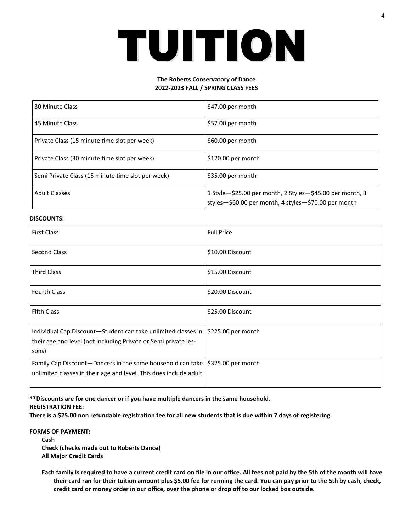### TUITION

#### **The Roberts Conservatory of Dance 2022-2023 FALL / SPRING CLASS FEES**

| 30 Minute Class                                   | \$47.00 per month                                                                                                    |  |
|---------------------------------------------------|----------------------------------------------------------------------------------------------------------------------|--|
| 45 Minute Class                                   | \$57.00 per month                                                                                                    |  |
| Private Class (15 minute time slot per week)      | \$60.00 per month                                                                                                    |  |
| Private Class (30 minute time slot per week)      | \$120.00 per month                                                                                                   |  |
| Semi Private Class (15 minute time slot per week) | \$35.00 per month                                                                                                    |  |
| <b>Adult Classes</b>                              | 1 Style - \$25.00 per month, 2 Styles - \$45.00 per month, 3<br>styles-\$60.00 per month, 4 styles-\$70.00 per month |  |

#### **DISCOUNTS:**

| <b>First Class</b>                                                                                                                                             | <b>Full Price</b> |
|----------------------------------------------------------------------------------------------------------------------------------------------------------------|-------------------|
| <b>Second Class</b>                                                                                                                                            | \$10.00 Discount  |
| <b>Third Class</b>                                                                                                                                             | \$15.00 Discount  |
| <b>Fourth Class</b>                                                                                                                                            | \$20.00 Discount  |
| <b>Fifth Class</b>                                                                                                                                             | \$25.00 Discount  |
| Individual Cap Discount-Student can take unlimited classes in   \$225.00 per month<br>their age and level (not including Private or Semi private les-<br>sons) |                   |
| Family Cap Discount-Dancers in the same household can take   \$325.00 per month<br>unlimited classes in their age and level. This does include adult           |                   |

#### **\*\*Discounts are for one dancer or if you have multiple dancers in the same household.**

#### **REGISTRATION FEE:**

**There is a \$25.00 non refundable registration fee for all new students that is due within 7 days of registering.** 

#### **FORMS OF PAYMENT:**

**Cash Check (checks made out to Roberts Dance) All Major Credit Cards**

**Each family is required to have a current credit card on file in our office. All fees not paid by the 5th of the month will have their card ran for their tuition amount plus \$5.00 fee for running the card. You can pay prior to the 5th by cash, check, credit card or money order in our office, over the phone or drop off to our locked box outside.**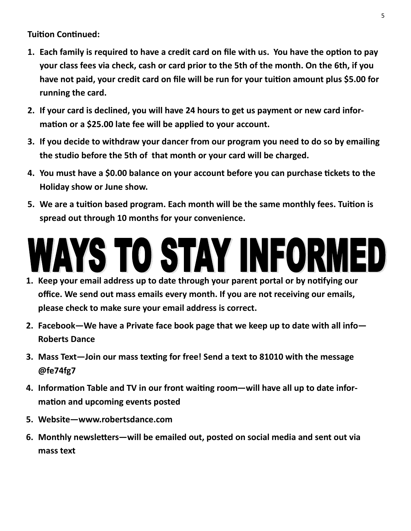**Tuition Continued:**

- **1. Each family is required to have a credit card on file with us. You have the option to pay your class fees via check, cash or card prior to the 5th of the month. On the 6th, if you have not paid, your credit card on file will be run for your tuition amount plus \$5.00 for running the card.**
- **2. If your card is declined, you will have 24 hours to get us payment or new card information or a \$25.00 late fee will be applied to your account.**
- **3. If you decide to withdraw your dancer from our program you need to do so by emailing the studio before the 5th of that month or your card will be charged.**
- **4. You must have a \$0.00 balance on your account before you can purchase tickets to the Holiday show or June show.**
- **5. We are a tuition based program. Each month will be the same monthly fees. Tuition is spread out through 10 months for your convenience.**

### WAYS TO STAY INFORMED

- **1. Keep your email address up to date through your parent portal or by notifying our office. We send out mass emails every month. If you are not receiving our emails, please check to make sure your email address is correct.**
- **2. Facebook—We have a Private face book page that we keep up to date with all info— Roberts Dance**
- **3. Mass Text—Join our mass texting for free! Send a text to 81010 with the message @fe74fg7**
- **4. Information Table and TV in our front waiting room—will have all up to date information and upcoming events posted**
- **5. Website—www.robertsdance.com**
- **6. Monthly newsletters—will be emailed out, posted on social media and sent out via mass text**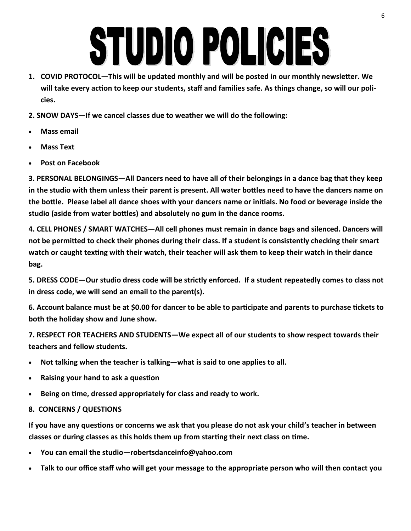# STUDIO POLICIES

- **1. COVID PROTOCOL—This will be updated monthly and will be posted in our monthly newsletter. We will take every action to keep our students, staff and families safe. As things change, so will our policies.**
- **2. SNOW DAYS—If we cancel classes due to weather we will do the following:**
- **Mass email**
- **Mass Text**
- **Post on Facebook**

**3. PERSONAL BELONGINGS—All Dancers need to have all of their belongings in a dance bag that they keep in the studio with them unless their parent is present. All water bottles need to have the dancers name on the bottle. Please label all dance shoes with your dancers name or initials. No food or beverage inside the studio (aside from water bottles) and absolutely no gum in the dance rooms.** 

**4. CELL PHONES / SMART WATCHES—All cell phones must remain in dance bags and silenced. Dancers will not be permitted to check their phones during their class. If a student is consistently checking their smart watch or caught texting with their watch, their teacher will ask them to keep their watch in their dance bag.** 

**5. DRESS CODE—Our studio dress code will be strictly enforced. If a student repeatedly comes to class not in dress code, we will send an email to the parent(s).** 

**6. Account balance must be at \$0.00 for dancer to be able to participate and parents to purchase tickets to both the holiday show and June show.** 

**7. RESPECT FOR TEACHERS AND STUDENTS—We expect all of our students to show respect towards their teachers and fellow students.** 

- **Not talking when the teacher is talking—what is said to one applies to all.**
- **Raising your hand to ask a question**
- **Being on time, dressed appropriately for class and ready to work.**

#### **8. CONCERNS / QUESTIONS**

**If you have any questions or concerns we ask that you please do not ask your child's teacher in between classes or during classes as this holds them up from starting their next class on time.** 

- **You can email the studio—robertsdanceinfo@yahoo.com**
- **Talk to our office staff who will get your message to the appropriate person who will then contact you**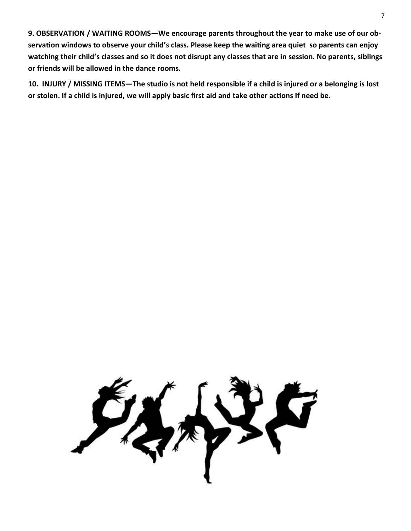**9. OBSERVATION / WAITING ROOMS—We encourage parents throughout the year to make use of our observation windows to observe your child's class. Please keep the waiting area quiet so parents can enjoy watching their child's classes and so it does not disrupt any classes that are in session. No parents, siblings or friends will be allowed in the dance rooms.** 

**10. INJURY / MISSING ITEMS—The studio is not held responsible if a child is injured or a belonging is lost or stolen. If a child is injured, we will apply basic first aid and take other actions If need be.**

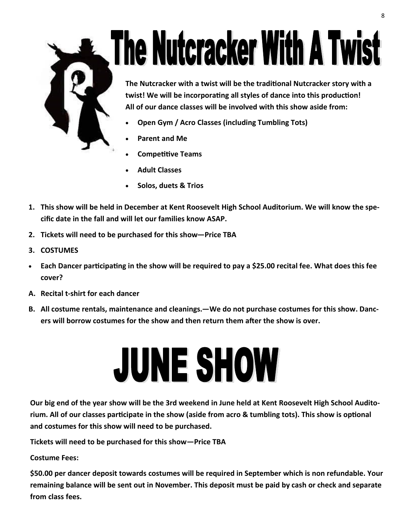

# **The Nutcracker With A Twist**

**The Nutcracker with a twist will be the traditional Nutcracker story with a twist! We will be incorporating all styles of dance into this production! All of our dance classes will be involved with this show aside from:**

- **Open Gym / Acro Classes (including Tumbling Tots)**
- **Parent and Me**
- **Competitive Teams**
- **Adult Classes**
- **Solos, duets & Trios**
- **1. This show will be held in December at Kent Roosevelt High School Auditorium. We will know the specific date in the fall and will let our families know ASAP.**
- **2. Tickets will need to be purchased for this show—Price TBA**
- **3. COSTUMES**
- **Each Dancer participating in the show will be required to pay a \$25.00 recital fee. What does this fee cover?**
- **A. Recital t-shirt for each dancer**
- **B. All costume rentals, maintenance and cleanings.—We do not purchase costumes for this show. Dancers will borrow costumes for the show and then return them after the show is over.**

## **JUNE SHOW**

**Our big end of the year show will be the 3rd weekend in June held at Kent Roosevelt High School Auditorium. All of our classes participate in the show (aside from acro & tumbling tots). This show is optional and costumes for this show will need to be purchased.** 

**Tickets will need to be purchased for this show—Price TBA**

**Costume Fees:**

**\$50.00 per dancer deposit towards costumes will be required in September which is non refundable. Your remaining balance will be sent out in November. This deposit must be paid by cash or check and separate from class fees.**